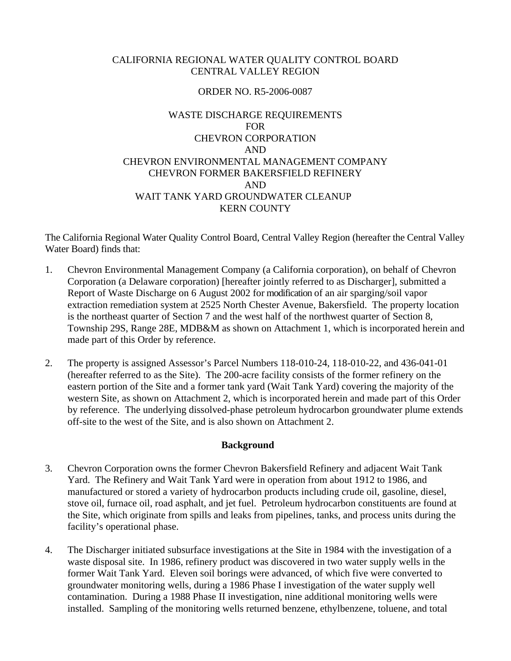# CALIFORNIA REGIONAL WATER QUALITY CONTROL BOARD CENTRAL VALLEY REGION

## ORDER NO. R5-2006-0087

# WASTE DISCHARGE REQUIREMENTS FOR CHEVRON CORPORATION AND CHEVRON ENVIRONMENTAL MANAGEMENT COMPANY CHEVRON FORMER BAKERSFIELD REFINERY AND WAIT TANK YARD GROUNDWATER CLEANUP KERN COUNTY

The California Regional Water Quality Control Board, Central Valley Region (hereafter the Central Valley Water Board) finds that:

- 1. Chevron Environmental Management Company (a California corporation), on behalf of Chevron Corporation (a Delaware corporation) [hereafter jointly referred to as Discharger], submitted a Report of Waste Discharge on 6 August 2002 for modification of an air sparging/soil vapor extraction remediation system at 2525 North Chester Avenue, Bakersfield. The property location is the northeast quarter of Section 7 and the west half of the northwest quarter of Section 8, Township 29S, Range 28E, MDB&M as shown on Attachment 1, which is incorporated herein and made part of this Order by reference.
- 2. The property is assigned Assessor's Parcel Numbers 118-010-24, 118-010-22, and 436-041-01 (hereafter referred to as the Site). The 200-acre facility consists of the former refinery on the eastern portion of the Site and a former tank yard (Wait Tank Yard) covering the majority of the western Site, as shown on Attachment 2, which is incorporated herein and made part of this Order by reference. The underlying dissolved-phase petroleum hydrocarbon groundwater plume extends off-site to the west of the Site, and is also shown on Attachment 2.

### **Background**

- 3. Chevron Corporation owns the former Chevron Bakersfield Refinery and adjacent Wait Tank Yard. The Refinery and Wait Tank Yard were in operation from about 1912 to 1986, and manufactured or stored a variety of hydrocarbon products including crude oil, gasoline, diesel, stove oil, furnace oil, road asphalt, and jet fuel. Petroleum hydrocarbon constituents are found at the Site, which originate from spills and leaks from pipelines, tanks, and process units during the facility's operational phase.
- 4. The Discharger initiated subsurface investigations at the Site in 1984 with the investigation of a waste disposal site. In 1986, refinery product was discovered in two water supply wells in the former Wait Tank Yard. Eleven soil borings were advanced, of which five were converted to groundwater monitoring wells, during a 1986 Phase I investigation of the water supply well contamination. During a 1988 Phase II investigation, nine additional monitoring wells were installed. Sampling of the monitoring wells returned benzene, ethylbenzene, toluene, and total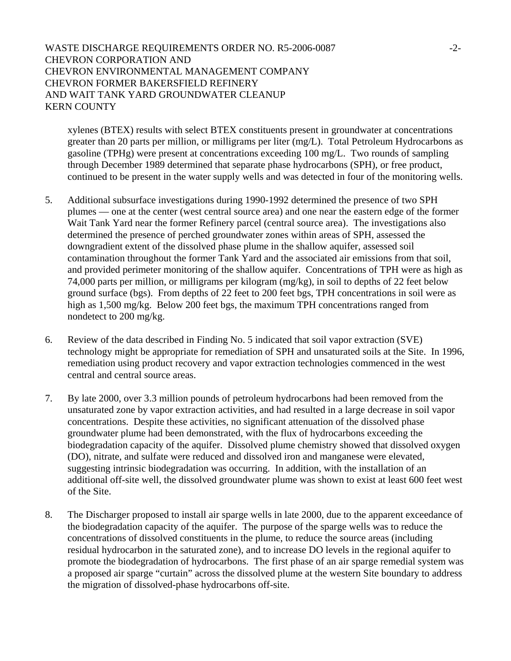## WASTE DISCHARGE REQUIREMENTS ORDER NO. R5-2006-0087 -2-CHEVRON CORPORATION AND CHEVRON ENVIRONMENTAL MANAGEMENT COMPANY CHEVRON FORMER BAKERSFIELD REFINERY AND WAIT TANK YARD GROUNDWATER CLEANUP KERN COUNTY

xylenes (BTEX) results with select BTEX constituents present in groundwater at concentrations greater than 20 parts per million, or milligrams per liter (mg/L). Total Petroleum Hydrocarbons as gasoline (TPHg) were present at concentrations exceeding 100 mg/L. Two rounds of sampling through December 1989 determined that separate phase hydrocarbons (SPH), or free product, continued to be present in the water supply wells and was detected in four of the monitoring wells.

- 5. Additional subsurface investigations during 1990-1992 determined the presence of two SPH plumes — one at the center (west central source area) and one near the eastern edge of the former Wait Tank Yard near the former Refinery parcel (central source area). The investigations also determined the presence of perched groundwater zones within areas of SPH, assessed the downgradient extent of the dissolved phase plume in the shallow aquifer, assessed soil contamination throughout the former Tank Yard and the associated air emissions from that soil, and provided perimeter monitoring of the shallow aquifer. Concentrations of TPH were as high as 74,000 parts per million, or milligrams per kilogram (mg/kg), in soil to depths of 22 feet below ground surface (bgs). From depths of 22 feet to 200 feet bgs, TPH concentrations in soil were as high as 1,500 mg/kg. Below 200 feet bgs, the maximum TPH concentrations ranged from nondetect to 200 mg/kg.
- 6. Review of the data described in Finding No. 5 indicated that soil vapor extraction (SVE) technology might be appropriate for remediation of SPH and unsaturated soils at the Site. In 1996, remediation using product recovery and vapor extraction technologies commenced in the west central and central source areas.
- 7. By late 2000, over 3.3 million pounds of petroleum hydrocarbons had been removed from the unsaturated zone by vapor extraction activities, and had resulted in a large decrease in soil vapor concentrations. Despite these activities, no significant attenuation of the dissolved phase groundwater plume had been demonstrated, with the flux of hydrocarbons exceeding the biodegradation capacity of the aquifer. Dissolved plume chemistry showed that dissolved oxygen (DO), nitrate, and sulfate were reduced and dissolved iron and manganese were elevated, suggesting intrinsic biodegradation was occurring. In addition, with the installation of an additional off-site well, the dissolved groundwater plume was shown to exist at least 600 feet west of the Site.
- 8. The Discharger proposed to install air sparge wells in late 2000, due to the apparent exceedance of the biodegradation capacity of the aquifer. The purpose of the sparge wells was to reduce the concentrations of dissolved constituents in the plume, to reduce the source areas (including residual hydrocarbon in the saturated zone), and to increase DO levels in the regional aquifer to promote the biodegradation of hydrocarbons. The first phase of an air sparge remedial system was a proposed air sparge "curtain" across the dissolved plume at the western Site boundary to address the migration of dissolved-phase hydrocarbons off-site.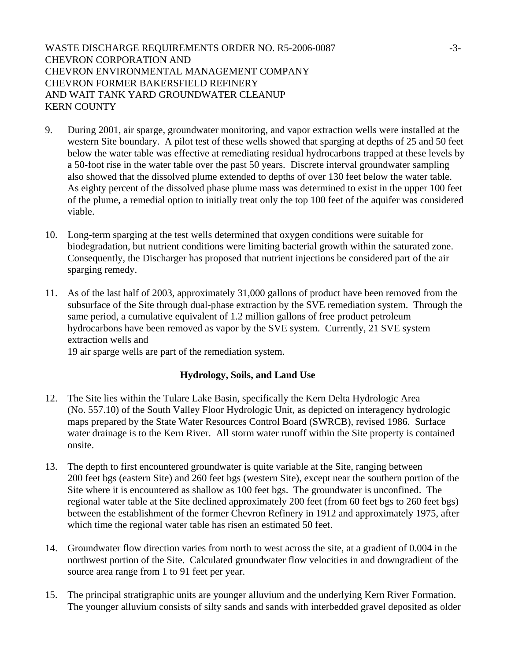WASTE DISCHARGE REQUIREMENTS ORDER NO. R5-2006-0087 -3-CHEVRON CORPORATION AND CHEVRON ENVIRONMENTAL MANAGEMENT COMPANY CHEVRON FORMER BAKERSFIELD REFINERY AND WAIT TANK YARD GROUNDWATER CLEANUP KERN COUNTY

- 9. During 2001, air sparge, groundwater monitoring, and vapor extraction wells were installed at the western Site boundary. A pilot test of these wells showed that sparging at depths of 25 and 50 feet below the water table was effective at remediating residual hydrocarbons trapped at these levels by a 50-foot rise in the water table over the past 50 years. Discrete interval groundwater sampling also showed that the dissolved plume extended to depths of over 130 feet below the water table. As eighty percent of the dissolved phase plume mass was determined to exist in the upper 100 feet of the plume, a remedial option to initially treat only the top 100 feet of the aquifer was considered viable.
- 10. Long-term sparging at the test wells determined that oxygen conditions were suitable for biodegradation, but nutrient conditions were limiting bacterial growth within the saturated zone. Consequently, the Discharger has proposed that nutrient injections be considered part of the air sparging remedy.
- 11. As of the last half of 2003, approximately 31,000 gallons of product have been removed from the subsurface of the Site through dual-phase extraction by the SVE remediation system. Through the same period, a cumulative equivalent of 1.2 million gallons of free product petroleum hydrocarbons have been removed as vapor by the SVE system. Currently, 21 SVE system extraction wells and

19 air sparge wells are part of the remediation system.

### **Hydrology, Soils, and Land Use**

- 12. The Site lies within the Tulare Lake Basin, specifically the Kern Delta Hydrologic Area (No. 557.10) of the South Valley Floor Hydrologic Unit, as depicted on interagency hydrologic maps prepared by the State Water Resources Control Board (SWRCB), revised 1986. Surface water drainage is to the Kern River. All storm water runoff within the Site property is contained onsite.
- 13. The depth to first encountered groundwater is quite variable at the Site, ranging between 200 feet bgs (eastern Site) and 260 feet bgs (western Site), except near the southern portion of the Site where it is encountered as shallow as 100 feet bgs. The groundwater is unconfined. The regional water table at the Site declined approximately 200 feet (from 60 feet bgs to 260 feet bgs) between the establishment of the former Chevron Refinery in 1912 and approximately 1975, after which time the regional water table has risen an estimated 50 feet.
- 14. Groundwater flow direction varies from north to west across the site, at a gradient of 0.004 in the northwest portion of the Site. Calculated groundwater flow velocities in and downgradient of the source area range from 1 to 91 feet per year.
- 15. The principal stratigraphic units are younger alluvium and the underlying Kern River Formation. The younger alluvium consists of silty sands and sands with interbedded gravel deposited as older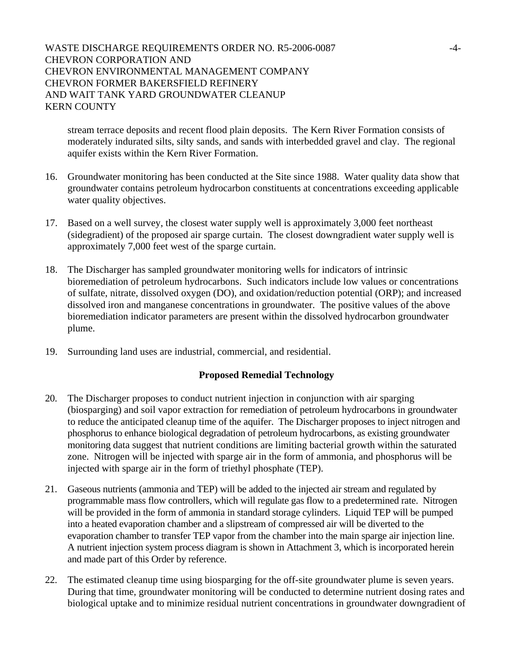## WASTE DISCHARGE REQUIREMENTS ORDER NO. R5-2006-0087 -4-CHEVRON CORPORATION AND CHEVRON ENVIRONMENTAL MANAGEMENT COMPANY CHEVRON FORMER BAKERSFIELD REFINERY AND WAIT TANK YARD GROUNDWATER CLEANUP KERN COUNTY

stream terrace deposits and recent flood plain deposits. The Kern River Formation consists of moderately indurated silts, silty sands, and sands with interbedded gravel and clay. The regional aquifer exists within the Kern River Formation.

- 16. Groundwater monitoring has been conducted at the Site since 1988. Water quality data show that groundwater contains petroleum hydrocarbon constituents at concentrations exceeding applicable water quality objectives.
- 17. Based on a well survey, the closest water supply well is approximately 3,000 feet northeast (sidegradient) of the proposed air sparge curtain. The closest downgradient water supply well is approximately 7,000 feet west of the sparge curtain.
- 18. The Discharger has sampled groundwater monitoring wells for indicators of intrinsic bioremediation of petroleum hydrocarbons. Such indicators include low values or concentrations of sulfate, nitrate, dissolved oxygen (DO), and oxidation/reduction potential (ORP); and increased dissolved iron and manganese concentrations in groundwater. The positive values of the above bioremediation indicator parameters are present within the dissolved hydrocarbon groundwater plume.
- 19. Surrounding land uses are industrial, commercial, and residential.

### **Proposed Remedial Technology**

- 20. The Discharger proposes to conduct nutrient injection in conjunction with air sparging (biosparging) and soil vapor extraction for remediation of petroleum hydrocarbons in groundwater to reduce the anticipated cleanup time of the aquifer. The Discharger proposes to inject nitrogen and phosphorus to enhance biological degradation of petroleum hydrocarbons, as existing groundwater monitoring data suggest that nutrient conditions are limiting bacterial growth within the saturated zone. Nitrogen will be injected with sparge air in the form of ammonia, and phosphorus will be injected with sparge air in the form of triethyl phosphate (TEP).
- 21. Gaseous nutrients (ammonia and TEP) will be added to the injected air stream and regulated by programmable mass flow controllers, which will regulate gas flow to a predetermined rate. Nitrogen will be provided in the form of ammonia in standard storage cylinders. Liquid TEP will be pumped into a heated evaporation chamber and a slipstream of compressed air will be diverted to the evaporation chamber to transfer TEP vapor from the chamber into the main sparge air injection line. A nutrient injection system process diagram is shown in Attachment 3, which is incorporated herein and made part of this Order by reference.
- 22. The estimated cleanup time using biosparging for the off-site groundwater plume is seven years. During that time, groundwater monitoring will be conducted to determine nutrient dosing rates and biological uptake and to minimize residual nutrient concentrations in groundwater downgradient of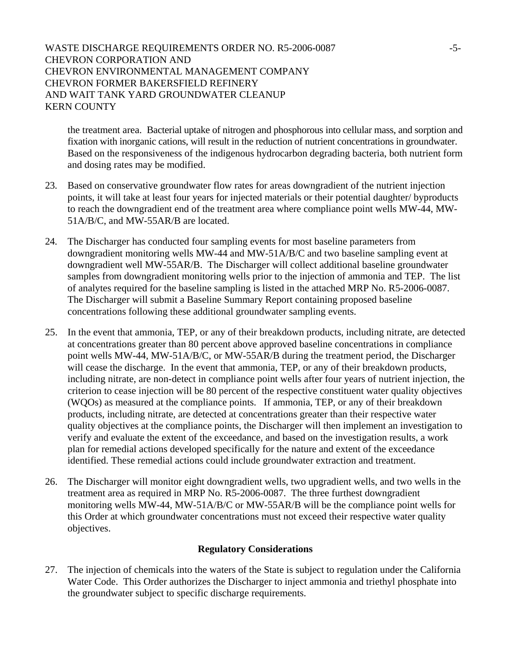## WASTE DISCHARGE REQUIREMENTS ORDER NO. R5-2006-0087 -5-CHEVRON CORPORATION AND CHEVRON ENVIRONMENTAL MANAGEMENT COMPANY CHEVRON FORMER BAKERSFIELD REFINERY AND WAIT TANK YARD GROUNDWATER CLEANUP KERN COUNTY

the treatment area. Bacterial uptake of nitrogen and phosphorous into cellular mass, and sorption and fixation with inorganic cations, will result in the reduction of nutrient concentrations in groundwater. Based on the responsiveness of the indigenous hydrocarbon degrading bacteria, both nutrient form and dosing rates may be modified.

- 23. Based on conservative groundwater flow rates for areas downgradient of the nutrient injection points, it will take at least four years for injected materials or their potential daughter/ byproducts to reach the downgradient end of the treatment area where compliance point wells MW-44, MW-51A/B/C, and MW-55AR/B are located.
- 24. The Discharger has conducted four sampling events for most baseline parameters from downgradient monitoring wells MW-44 and MW-51A/B/C and two baseline sampling event at downgradient well MW-55AR/B. The Discharger will collect additional baseline groundwater samples from downgradient monitoring wells prior to the injection of ammonia and TEP. The list of analytes required for the baseline sampling is listed in the attached MRP No. R5-2006-0087. The Discharger will submit a Baseline Summary Report containing proposed baseline concentrations following these additional groundwater sampling events.
- 25. In the event that ammonia, TEP, or any of their breakdown products, including nitrate, are detected at concentrations greater than 80 percent above approved baseline concentrations in compliance point wells MW-44, MW-51A/B/C, or MW-55AR/B during the treatment period, the Discharger will cease the discharge. In the event that ammonia, TEP, or any of their breakdown products, including nitrate, are non-detect in compliance point wells after four years of nutrient injection, the criterion to cease injection will be 80 percent of the respective constituent water quality objectives (WQOs) as measured at the compliance points. If ammonia, TEP, or any of their breakdown products, including nitrate, are detected at concentrations greater than their respective water quality objectives at the compliance points, the Discharger will then implement an investigation to verify and evaluate the extent of the exceedance, and based on the investigation results, a work plan for remedial actions developed specifically for the nature and extent of the exceedance identified. These remedial actions could include groundwater extraction and treatment.
- 26. The Discharger will monitor eight downgradient wells, two upgradient wells, and two wells in the treatment area as required in MRP No. R5-2006-0087. The three furthest downgradient monitoring wells MW-44, MW-51A/B/C or MW-55AR/B will be the compliance point wells for this Order at which groundwater concentrations must not exceed their respective water quality objectives.

# **Regulatory Considerations**

27. The injection of chemicals into the waters of the State is subject to regulation under the California Water Code. This Order authorizes the Discharger to inject ammonia and triethyl phosphate into the groundwater subject to specific discharge requirements.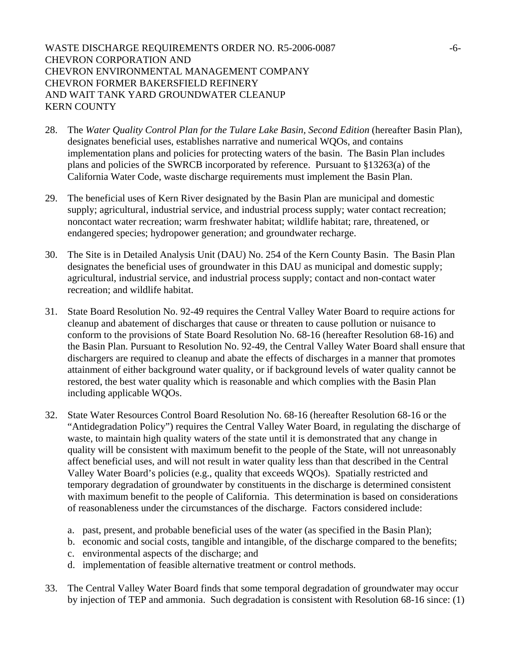WASTE DISCHARGE REQUIREMENTS ORDER NO. R5-2006-0087 -6-CHEVRON CORPORATION AND CHEVRON ENVIRONMENTAL MANAGEMENT COMPANY CHEVRON FORMER BAKERSFIELD REFINERY AND WAIT TANK YARD GROUNDWATER CLEANUP KERN COUNTY

- 28. The *Water Quality Control Plan for the Tulare Lake Basin, Second Edition* (hereafter Basin Plan), designates beneficial uses, establishes narrative and numerical WQOs, and contains implementation plans and policies for protecting waters of the basin. The Basin Plan includes plans and policies of the SWRCB incorporated by reference. Pursuant to §13263(a) of the California Water Code, waste discharge requirements must implement the Basin Plan.
- 29. The beneficial uses of Kern River designated by the Basin Plan are municipal and domestic supply; agricultural, industrial service, and industrial process supply; water contact recreation; noncontact water recreation; warm freshwater habitat; wildlife habitat; rare, threatened, or endangered species; hydropower generation; and groundwater recharge.
- 30. The Site is in Detailed Analysis Unit (DAU) No. 254 of the Kern County Basin. The Basin Plan designates the beneficial uses of groundwater in this DAU as municipal and domestic supply; agricultural, industrial service, and industrial process supply; contact and non-contact water recreation; and wildlife habitat.
- 31. State Board Resolution No. 92-49 requires the Central Valley Water Board to require actions for cleanup and abatement of discharges that cause or threaten to cause pollution or nuisance to conform to the provisions of State Board Resolution No. 68-16 (hereafter Resolution 68-16) and the Basin Plan. Pursuant to Resolution No. 92-49, the Central Valley Water Board shall ensure that dischargers are required to cleanup and abate the effects of discharges in a manner that promotes attainment of either background water quality, or if background levels of water quality cannot be restored, the best water quality which is reasonable and which complies with the Basin Plan including applicable WQOs.
- 32. State Water Resources Control Board Resolution No. 68-16 (hereafter Resolution 68-16 or the "Antidegradation Policy") requires the Central Valley Water Board, in regulating the discharge of waste, to maintain high quality waters of the state until it is demonstrated that any change in quality will be consistent with maximum benefit to the people of the State, will not unreasonably affect beneficial uses, and will not result in water quality less than that described in the Central Valley Water Board's policies (e.g., quality that exceeds WQOs). Spatially restricted and temporary degradation of groundwater by constituents in the discharge is determined consistent with maximum benefit to the people of California. This determination is based on considerations of reasonableness under the circumstances of the discharge. Factors considered include:
	- a. past, present, and probable beneficial uses of the water (as specified in the Basin Plan);
	- b. economic and social costs, tangible and intangible, of the discharge compared to the benefits;
	- c. environmental aspects of the discharge; and
	- d. implementation of feasible alternative treatment or control methods.
- 33. The Central Valley Water Board finds that some temporal degradation of groundwater may occur by injection of TEP and ammonia. Such degradation is consistent with Resolution 68-16 since: (1)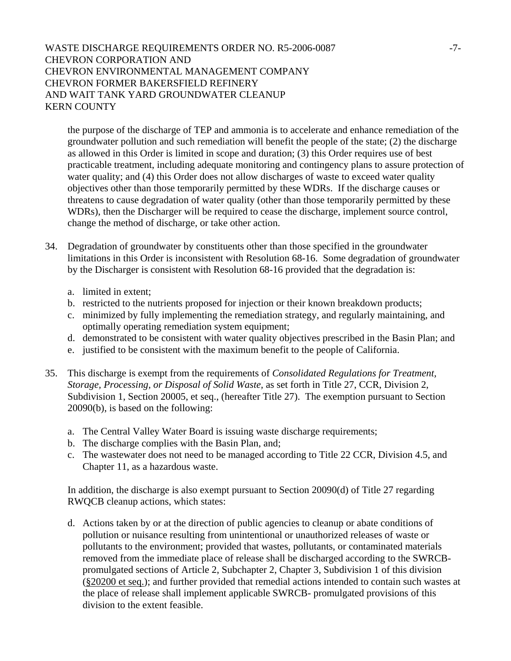# WASTE DISCHARGE REQUIREMENTS ORDER NO. R5-2006-0087 -7-CHEVRON CORPORATION AND CHEVRON ENVIRONMENTAL MANAGEMENT COMPANY CHEVRON FORMER BAKERSFIELD REFINERY AND WAIT TANK YARD GROUNDWATER CLEANUP KERN COUNTY

the purpose of the discharge of TEP and ammonia is to accelerate and enhance remediation of the groundwater pollution and such remediation will benefit the people of the state; (2) the discharge as allowed in this Order is limited in scope and duration; (3) this Order requires use of best practicable treatment, including adequate monitoring and contingency plans to assure protection of water quality; and (4) this Order does not allow discharges of waste to exceed water quality objectives other than those temporarily permitted by these WDRs. If the discharge causes or threatens to cause degradation of water quality (other than those temporarily permitted by these WDRs), then the Discharger will be required to cease the discharge, implement source control, change the method of discharge, or take other action.

- 34. Degradation of groundwater by constituents other than those specified in the groundwater limitations in this Order is inconsistent with Resolution 68-16. Some degradation of groundwater by the Discharger is consistent with Resolution 68-16 provided that the degradation is:
	- a. limited in extent;
	- b. restricted to the nutrients proposed for injection or their known breakdown products;
	- c. minimized by fully implementing the remediation strategy, and regularly maintaining, and optimally operating remediation system equipment;
	- d. demonstrated to be consistent with water quality objectives prescribed in the Basin Plan; and
	- e. justified to be consistent with the maximum benefit to the people of California.
- 35. This discharge is exempt from the requirements of *Consolidated Regulations for Treatment, Storage, Processing, or Disposal of Solid Waste,* as set forth in Title 27, CCR, Division 2, Subdivision 1, Section 20005, et seq., (hereafter Title 27). The exemption pursuant to Section 20090(b), is based on the following:
	- a. The Central Valley Water Board is issuing waste discharge requirements;
	- b. The discharge complies with the Basin Plan, and;
	- c. The wastewater does not need to be managed according to Title 22 CCR, Division 4.5, and Chapter 11, as a hazardous waste.

In addition, the discharge is also exempt pursuant to Section 20090(d) of Title 27 regarding RWQCB cleanup actions, which states:

d. Actions taken by or at the direction of public agencies to cleanup or abate conditions of pollution or nuisance resulting from unintentional or unauthorized releases of waste or pollutants to the environment; provided that wastes, pollutants, or contaminated materials removed from the immediate place of release shall be discharged according to the SWRCBpromulgated sections of Article 2, Subchapter 2, Chapter 3, Subdivision 1 of this division ([§20200 et seq.\)](http://www.calregs.com/cgi-bin/om_isapi.dll?clientID=91717&hitsperheading=on&infobase=ccr&jump=27%3a20200&softpage=Document42#JUMPDEST_27:20200); and further provided that remedial actions intended to contain such wastes at the place of release shall implement applicable SWRCB- promulgated provisions of this division to the extent feasible.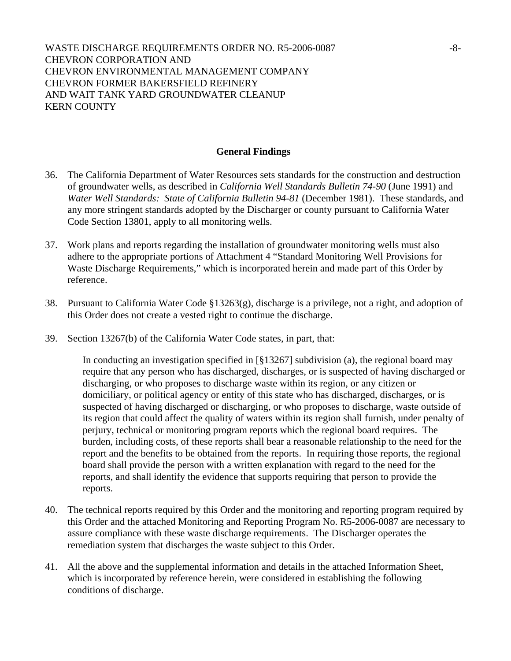#### **General Findings**

- 36. The California Department of Water Resources sets standards for the construction and destruction of groundwater wells, as described in *California Well Standards Bulletin 74-90* (June 1991) and *Water Well Standards: State of California Bulletin 94-81* (December 1981). These standards, and any more stringent standards adopted by the Discharger or county pursuant to California Water Code Section 13801, apply to all monitoring wells.
- 37. Work plans and reports regarding the installation of groundwater monitoring wells must also adhere to the appropriate portions of Attachment 4 "Standard Monitoring Well Provisions for Waste Discharge Requirements," which is incorporated herein and made part of this Order by reference.
- 38. Pursuant to California Water Code §13263(g), discharge is a privilege, not a right, and adoption of this Order does not create a vested right to continue the discharge.
- 39. Section 13267(b) of the California Water Code states, in part, that:

In conducting an investigation specified in [§13267] subdivision (a), the regional board may require that any person who has discharged, discharges, or is suspected of having discharged or discharging, or who proposes to discharge waste within its region, or any citizen or domiciliary, or political agency or entity of this state who has discharged, discharges, or is suspected of having discharged or discharging, or who proposes to discharge, waste outside of its region that could affect the quality of waters within its region shall furnish, under penalty of perjury, technical or monitoring program reports which the regional board requires. The burden, including costs, of these reports shall bear a reasonable relationship to the need for the report and the benefits to be obtained from the reports. In requiring those reports, the regional board shall provide the person with a written explanation with regard to the need for the reports, and shall identify the evidence that supports requiring that person to provide the reports.

- 40. The technical reports required by this Order and the monitoring and reporting program required by this Order and the attached Monitoring and Reporting Program No. R5-2006-0087 are necessary to assure compliance with these waste discharge requirements. The Discharger operates the remediation system that discharges the waste subject to this Order.
- 41. All the above and the supplemental information and details in the attached Information Sheet, which is incorporated by reference herein, were considered in establishing the following conditions of discharge.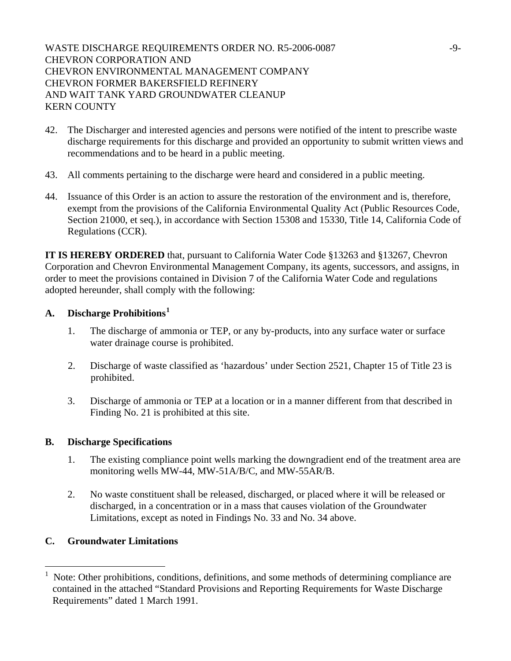WASTE DISCHARGE REQUIREMENTS ORDER NO. R5-2006-0087 -9-CHEVRON CORPORATION AND CHEVRON ENVIRONMENTAL MANAGEMENT COMPANY CHEVRON FORMER BAKERSFIELD REFINERY AND WAIT TANK YARD GROUNDWATER CLEANUP KERN COUNTY

- 42. The Discharger and interested agencies and persons were notified of the intent to prescribe waste discharge requirements for this discharge and provided an opportunity to submit written views and recommendations and to be heard in a public meeting.
- 43. All comments pertaining to the discharge were heard and considered in a public meeting.
- 44. Issuance of this Order is an action to assure the restoration of the environment and is, therefore, exempt from the provisions of the California Environmental Quality Act (Public Resources Code, Section 21000, et seq.), in accordance with Section 15308 and 15330, Title 14, California Code of Regulations (CCR).

**IT IS HEREBY ORDERED** that, pursuant to California Water Code §13263 and §13267, Chevron Corporation and Chevron Environmental Management Company, its agents, successors, and assigns, in order to meet the provisions contained in Division 7 of the California Water Code and regulations adopted hereunder, shall comply with the following:

# **A. Discharge Prohibitions[1](#page-8-0)**

- 1. The discharge of ammonia or TEP, or any by-products, into any surface water or surface water drainage course is prohibited.
- 2. Discharge of waste classified as 'hazardous' under Section 2521, Chapter 15 of Title 23 is prohibited.
- 3. Discharge of ammonia or TEP at a location or in a manner different from that described in Finding No. 21 is prohibited at this site.

### **B. Discharge Specifications**

- 1. The existing compliance point wells marking the downgradient end of the treatment area are monitoring wells MW-44, MW-51A/B/C, and MW-55AR/B.
- 2. No waste constituent shall be released, discharged, or placed where it will be released or discharged, in a concentration or in a mass that causes violation of the Groundwater Limitations, except as noted in Findings No. 33 and No. 34 above.

# **C. Groundwater Limitations**

 $\overline{a}$ 

<span id="page-8-0"></span><sup>1</sup> Note: Other prohibitions, conditions, definitions, and some methods of determining compliance are contained in the attached "Standard Provisions and Reporting Requirements for Waste Discharge Requirements" dated 1 March 1991.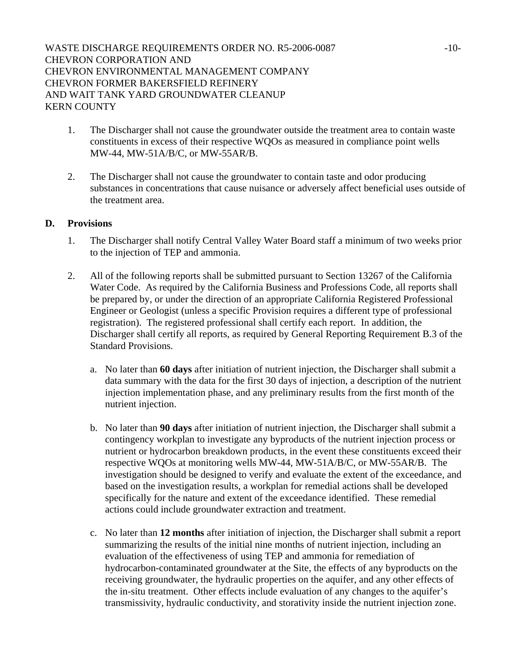- 1. The Discharger shall not cause the groundwater outside the treatment area to contain waste constituents in excess of their respective WQOs as measured in compliance point wells MW-44, MW-51A/B/C, or MW-55AR/B.
- 2. The Discharger shall not cause the groundwater to contain taste and odor producing substances in concentrations that cause nuisance or adversely affect beneficial uses outside of the treatment area.

# **D. Provisions**

- 1. The Discharger shall notify Central Valley Water Board staff a minimum of two weeks prior to the injection of TEP and ammonia.
- 2. All of the following reports shall be submitted pursuant to Section 13267 of the California Water Code. As required by the California Business and Professions Code, all reports shall be prepared by, or under the direction of an appropriate California Registered Professional Engineer or Geologist (unless a specific Provision requires a different type of professional registration). The registered professional shall certify each report. In addition, the Discharger shall certify all reports, as required by General Reporting Requirement B.3 of the Standard Provisions.
	- a. No later than **60 days** after initiation of nutrient injection, the Discharger shall submit a data summary with the data for the first 30 days of injection, a description of the nutrient injection implementation phase, and any preliminary results from the first month of the nutrient injection.
	- b. No later than **90 days** after initiation of nutrient injection, the Discharger shall submit a contingency workplan to investigate any byproducts of the nutrient injection process or nutrient or hydrocarbon breakdown products, in the event these constituents exceed their respective WQOs at monitoring wells MW-44, MW-51A/B/C, or MW-55AR/B. The investigation should be designed to verify and evaluate the extent of the exceedance, and based on the investigation results, a workplan for remedial actions shall be developed specifically for the nature and extent of the exceedance identified. These remedial actions could include groundwater extraction and treatment.
	- c. No later than **12 months** after initiation of injection, the Discharger shall submit a report summarizing the results of the initial nine months of nutrient injection, including an evaluation of the effectiveness of using TEP and ammonia for remediation of hydrocarbon-contaminated groundwater at the Site, the effects of any byproducts on the receiving groundwater, the hydraulic properties on the aquifer, and any other effects of the in-situ treatment. Other effects include evaluation of any changes to the aquifer's transmissivity, hydraulic conductivity, and storativity inside the nutrient injection zone.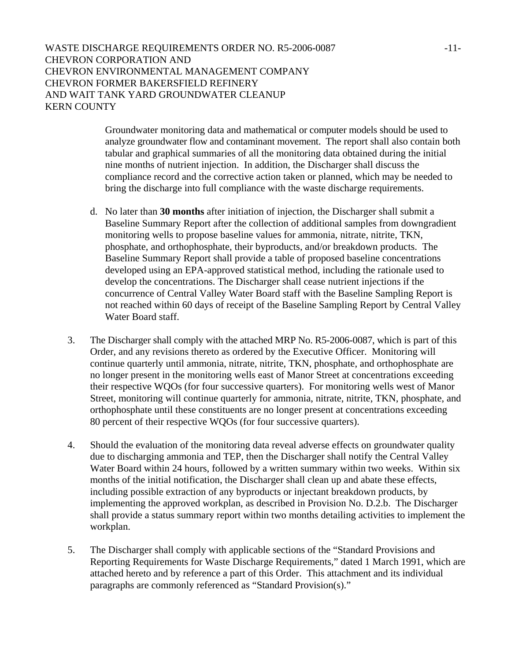Groundwater monitoring data and mathematical or computer models should be used to analyze groundwater flow and contaminant movement. The report shall also contain both tabular and graphical summaries of all the monitoring data obtained during the initial nine months of nutrient injection. In addition, the Discharger shall discuss the compliance record and the corrective action taken or planned, which may be needed to bring the discharge into full compliance with the waste discharge requirements.

- d. No later than **30 months** after initiation of injection, the Discharger shall submit a Baseline Summary Report after the collection of additional samples from downgradient monitoring wells to propose baseline values for ammonia, nitrate, nitrite, TKN, phosphate, and orthophosphate, their byproducts, and/or breakdown products. The Baseline Summary Report shall provide a table of proposed baseline concentrations developed using an EPA-approved statistical method, including the rationale used to develop the concentrations. The Discharger shall cease nutrient injections if the concurrence of Central Valley Water Board staff with the Baseline Sampling Report is not reached within 60 days of receipt of the Baseline Sampling Report by Central Valley Water Board staff.
- 3. The Discharger shall comply with the attached MRP No. R5-2006-0087, which is part of this Order, and any revisions thereto as ordered by the Executive Officer. Monitoring will continue quarterly until ammonia, nitrate, nitrite, TKN, phosphate, and orthophosphate are no longer present in the monitoring wells east of Manor Street at concentrations exceeding their respective WQOs (for four successive quarters). For monitoring wells west of Manor Street, monitoring will continue quarterly for ammonia, nitrate, nitrite, TKN, phosphate, and orthophosphate until these constituents are no longer present at concentrations exceeding 80 percent of their respective WQOs (for four successive quarters).
- 4. Should the evaluation of the monitoring data reveal adverse effects on groundwater quality due to discharging ammonia and TEP, then the Discharger shall notify the Central Valley Water Board within 24 hours, followed by a written summary within two weeks. Within six months of the initial notification, the Discharger shall clean up and abate these effects, including possible extraction of any byproducts or injectant breakdown products, by implementing the approved workplan, as described in Provision No. D.2.b. The Discharger shall provide a status summary report within two months detailing activities to implement the workplan.
- 5. The Discharger shall comply with applicable sections of the "Standard Provisions and Reporting Requirements for Waste Discharge Requirements," dated 1 March 1991, which are attached hereto and by reference a part of this Order. This attachment and its individual paragraphs are commonly referenced as "Standard Provision(s)."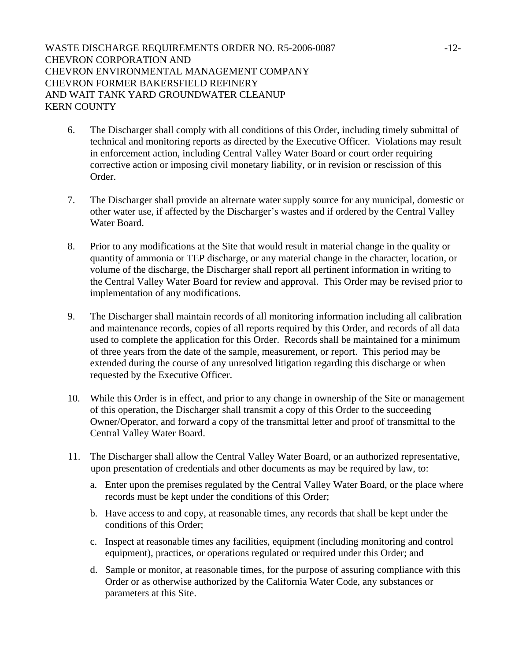- 6. The Discharger shall comply with all conditions of this Order, including timely submittal of technical and monitoring reports as directed by the Executive Officer. Violations may result in enforcement action, including Central Valley Water Board or court order requiring corrective action or imposing civil monetary liability, or in revision or rescission of this Order.
- 7. The Discharger shall provide an alternate water supply source for any municipal, domestic or other water use, if affected by the Discharger's wastes and if ordered by the Central Valley Water Board.
- 8. Prior to any modifications at the Site that would result in material change in the quality or quantity of ammonia or TEP discharge, or any material change in the character, location, or volume of the discharge, the Discharger shall report all pertinent information in writing to the Central Valley Water Board for review and approval. This Order may be revised prior to implementation of any modifications.
- 9. The Discharger shall maintain records of all monitoring information including all calibration and maintenance records, copies of all reports required by this Order, and records of all data used to complete the application for this Order. Records shall be maintained for a minimum of three years from the date of the sample, measurement, or report. This period may be extended during the course of any unresolved litigation regarding this discharge or when requested by the Executive Officer.
- 10. While this Order is in effect, and prior to any change in ownership of the Site or management of this operation, the Discharger shall transmit a copy of this Order to the succeeding Owner/Operator, and forward a copy of the transmittal letter and proof of transmittal to the Central Valley Water Board.
- 11. The Discharger shall allow the Central Valley Water Board, or an authorized representative, upon presentation of credentials and other documents as may be required by law, to:
	- a. Enter upon the premises regulated by the Central Valley Water Board, or the place where records must be kept under the conditions of this Order;
	- b. Have access to and copy, at reasonable times, any records that shall be kept under the conditions of this Order;
	- c. Inspect at reasonable times any facilities, equipment (including monitoring and control equipment), practices, or operations regulated or required under this Order; and
	- d. Sample or monitor, at reasonable times, for the purpose of assuring compliance with this Order or as otherwise authorized by the California Water Code, any substances or parameters at this Site.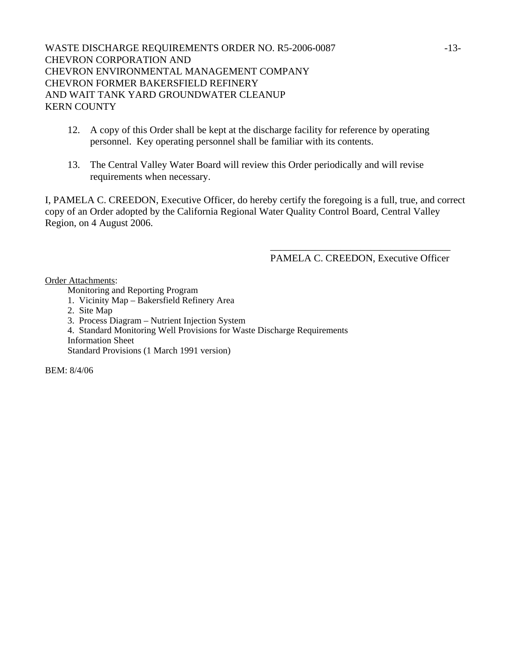WASTE DISCHARGE REQUIREMENTS ORDER NO. R5-2006-0087 -13-CHEVRON CORPORATION AND CHEVRON ENVIRONMENTAL MANAGEMENT COMPANY CHEVRON FORMER BAKERSFIELD REFINERY AND WAIT TANK YARD GROUNDWATER CLEANUP KERN COUNTY

- 12. A copy of this Order shall be kept at the discharge facility for reference by operating personnel. Key operating personnel shall be familiar with its contents.
- 13. The Central Valley Water Board will review this Order periodically and will revise requirements when necessary.

I, PAMELA C. CREEDON, Executive Officer, do hereby certify the foregoing is a full, true, and correct copy of an Order adopted by the California Regional Water Quality Control Board, Central Valley Region, on 4 August 2006.

 $\overline{\phantom{a}}$  , which is a set of the set of the set of the set of the set of the set of the set of the set of the set of the set of the set of the set of the set of the set of the set of the set of the set of the set of th

## PAMELA C. CREEDON, Executive Officer

Order Attachments:

Monitoring and Reporting Program

- 1. Vicinity Map Bakersfield Refinery Area
- 2. Site Map
- 3. Process Diagram Nutrient Injection System
- 4. Standard Monitoring Well Provisions for Waste Discharge Requirements Information Sheet

Standard Provisions (1 March 1991 version)

BEM: 8/4/06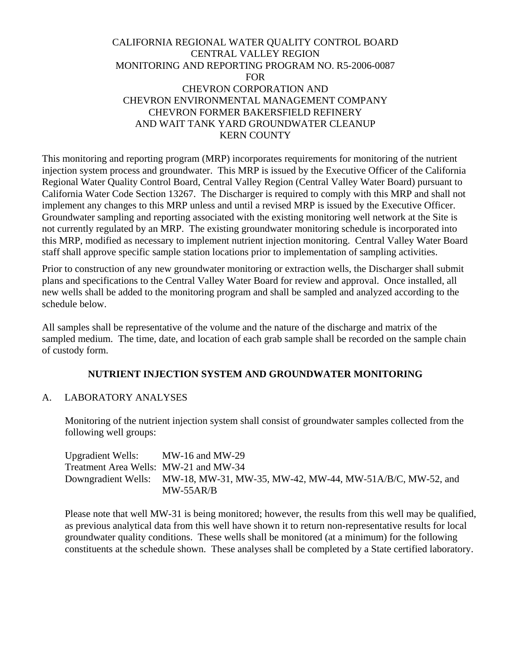# CALIFORNIA REGIONAL WATER QUALITY CONTROL BOARD CENTRAL VALLEY REGION MONITORING AND REPORTING PROGRAM NO. R5-2006-0087 FOR CHEVRON CORPORATION AND CHEVRON ENVIRONMENTAL MANAGEMENT COMPANY CHEVRON FORMER BAKERSFIELD REFINERY AND WAIT TANK YARD GROUNDWATER CLEANUP KERN COUNTY

This monitoring and reporting program (MRP) incorporates requirements for monitoring of the nutrient injection system process and groundwater. This MRP is issued by the Executive Officer of the California Regional Water Quality Control Board, Central Valley Region (Central Valley Water Board) pursuant to California Water Code Section 13267. The Discharger is required to comply with this MRP and shall not implement any changes to this MRP unless and until a revised MRP is issued by the Executive Officer. Groundwater sampling and reporting associated with the existing monitoring well network at the Site is not currently regulated by an MRP. The existing groundwater monitoring schedule is incorporated into this MRP, modified as necessary to implement nutrient injection monitoring. Central Valley Water Board staff shall approve specific sample station locations prior to implementation of sampling activities.

Prior to construction of any new groundwater monitoring or extraction wells, the Discharger shall submit plans and specifications to the Central Valley Water Board for review and approval. Once installed, all new wells shall be added to the monitoring program and shall be sampled and analyzed according to the schedule below.

All samples shall be representative of the volume and the nature of the discharge and matrix of the sampled medium. The time, date, and location of each grab sample shall be recorded on the sample chain of custody form.

# **NUTRIENT INJECTION SYSTEM AND GROUNDWATER MONITORING**

### A. LABORATORY ANALYSES

Monitoring of the nutrient injection system shall consist of groundwater samples collected from the following well groups:

Upgradient Wells: MW-16 and MW-29 Treatment Area Wells: MW-21 and MW-34 Downgradient Wells: MW-18, MW-31, MW-35, MW-42, MW-44, MW-51A/B/C, MW-52, and MW-55AR/B

Please note that well MW-31 is being monitored; however, the results from this well may be qualified, as previous analytical data from this well have shown it to return non-representative results for local groundwater quality conditions. These wells shall be monitored (at a minimum) for the following constituents at the schedule shown. These analyses shall be completed by a State certified laboratory.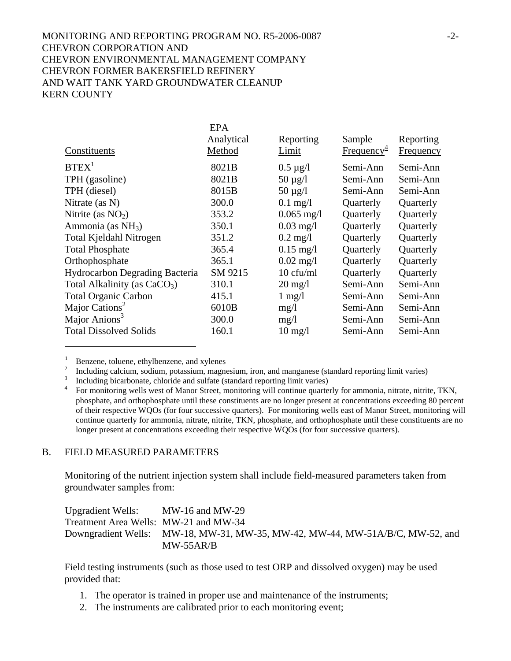# MONITORING AND REPORTING PROGRAM NO. R5-2006-0087 -2- CHEVRON CORPORATION AND CHEVRON ENVIRONMENTAL MANAGEMENT COMPANY CHEVRON FORMER BAKERSFIELD REFINERY AND WAIT TANK YARD GROUNDWATER CLEANUP KERN COUNTY

|                                          | <b>EPA</b> |                     |                        |                  |
|------------------------------------------|------------|---------------------|------------------------|------------------|
|                                          | Analytical | Reporting           | Sample                 | Reporting        |
| Constituents                             | Method     | Limit               | Frequency <sup>4</sup> | <b>Frequency</b> |
| BTEX <sup>1</sup>                        | 8021B      | $0.5 \mu g/l$       | Semi-Ann               | Semi-Ann         |
| TPH (gasoline)                           | 8021B      | $50 \mu g/l$        | Semi-Ann               | Semi-Ann         |
| TPH (diesel)                             | 8015B      | $50 \mu g/l$        | Semi-Ann               | Semi-Ann         |
| Nitrate (as N)                           | 300.0      | $0.1$ mg/l          | Quarterly              | Quarterly        |
| Nitrite (as $NO2$ )                      | 353.2      | $0.065$ mg/l        | Quarterly              | Quarterly        |
| Ammonia (as $NH3$ )                      | 350.1      | $0.03$ mg/l         | Quarterly              | Quarterly        |
| Total Kjeldahl Nitrogen                  | 351.2      | $0.2$ mg/l          | Quarterly              | Quarterly        |
| <b>Total Phosphate</b>                   | 365.4      | $0.15$ mg/l         | Quarterly              | Quarterly        |
| Orthophosphate                           | 365.1      | $0.02 \text{ mg}/1$ | Quarterly              | Quarterly        |
| Hydrocarbon Degrading Bacteria           | SM 9215    | 10 cfu/ml           | Quarterly              | Quarterly        |
| Total Alkalinity (as CaCO <sub>3</sub> ) | 310.1      | $20 \text{ mg/l}$   | Semi-Ann               | Semi-Ann         |
| <b>Total Organic Carbon</b>              | 415.1      | $1 \text{ mg}/1$    | Semi-Ann               | Semi-Ann         |
| Major Cations <sup>2</sup>               | 6010B      | mg/1                | Semi-Ann               | Semi-Ann         |
| Major Anions <sup>3</sup>                | 300.0      | mg/1                | Semi-Ann               | Semi-Ann         |
| <b>Total Dissolved Solids</b>            | 160.1      | $10 \text{ mg/l}$   | Semi-Ann               | Semi-Ann         |
|                                          |            |                     |                        |                  |

<sup>1</sup> Benzene, toluene, ethylbenzene, and xylenes<br><sup>2</sup> Including calcium, sodium, potassium, magnesium, iron, and manganese (standard reporting limit varies)<br><sup>3</sup> Including bicarbonate, chloride and sulfate (standard reportin

phosphate, and orthophosphate until these constituents are no longer present at concentrations exceeding 80 percent of their respective WQOs (for four successive quarters). For monitoring wells east of Manor Street, monitoring will continue quarterly for ammonia, nitrate, nitrite, TKN, phosphate, and orthophosphate until these constituents are no longer present at concentrations exceeding their respective WQOs (for four successive quarters).

#### B. FIELD MEASURED PARAMETERS

Monitoring of the nutrient injection system shall include field-measured parameters taken from groundwater samples from:

| <b>Upgradient Wells:</b>              | MW-16 and MW-29                                                               |
|---------------------------------------|-------------------------------------------------------------------------------|
| Treatment Area Wells: MW-21 and MW-34 |                                                                               |
|                                       | Downgradient Wells: MW-18, MW-31, MW-35, MW-42, MW-44, MW-51A/B/C, MW-52, and |
|                                       | $MW-55AR/B$                                                                   |

Field testing instruments (such as those used to test ORP and dissolved oxygen) may be used provided that:

- 1. The operator is trained in proper use and maintenance of the instruments;
- 2. The instruments are calibrated prior to each monitoring event;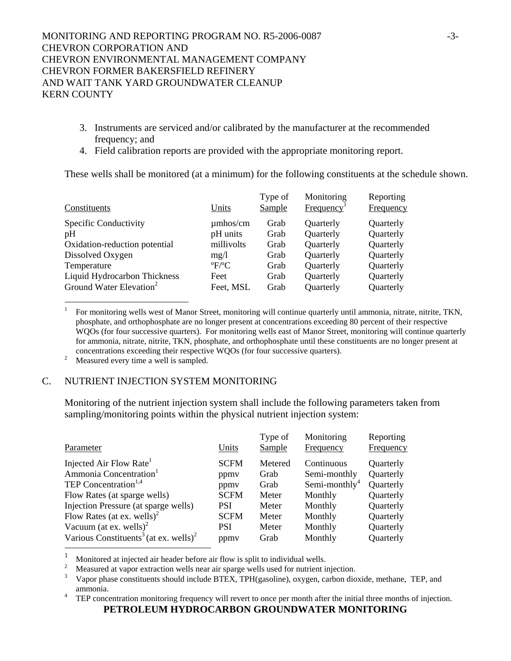- 3. Instruments are serviced and/or calibrated by the manufacturer at the recommended frequency; and
- 4. Field calibration reports are provided with the appropriate monitoring report.

These wells shall be monitored (at a minimum) for the following constituents at the schedule shown.

| Constituents                        | Units                 | Type of<br>Sample | Monitoring<br>Frequency | Reporting<br>Frequency |
|-------------------------------------|-----------------------|-------------------|-------------------------|------------------------|
| Specific Conductivity               | $\mu$ mhos/cm         | Grab              | Quarterly               | Quarterly              |
| pH                                  | pH units              | Grab              | Quarterly               | Quarterly              |
| Oxidation-reduction potential       | millivolts            | Grab              | Quarterly               | Quarterly              |
| Dissolved Oxygen                    | mg/l                  | Grab              | Quarterly               | Quarterly              |
| Temperature                         | $\mathrm{P}^{\circ}C$ | Grab              | Quarterly               | Quarterly              |
| <b>Liquid Hydrocarbon Thickness</b> | Feet                  | Grab              | Quarterly               | Quarterly              |
| Ground Water Elevation <sup>2</sup> | Feet, MSL             | Grab              | Quarterly               | Quarterly              |

1 For monitoring wells west of Manor Street, monitoring will continue quarterly until ammonia, nitrate, nitrite, TKN, phosphate, and orthophosphate are no longer present at concentrations exceeding 80 percent of their respective WQOs (for four successive quarters). For monitoring wells east of Manor Street, monitoring will continue quarterly for ammonia, nitrate, nitrite, TKN, phosphate, and orthophosphate until these constituents are no longer present at concentrations exceeding their respective WQOs (for four successive quarters).

<sup>2</sup> Measured every time a well is sampled.

l

## C. NUTRIENT INJECTION SYSTEM MONITORING

Monitoring of the nutrient injection system shall include the following parameters taken from sampling/monitoring points within the physical nutrient injection system:

| Parameter                                                     | Units       | Type of<br>Sample | Monitoring<br>Frequency   | Reporting<br>Frequency |
|---------------------------------------------------------------|-------------|-------------------|---------------------------|------------------------|
| Injected Air Flow Rate <sup>1</sup>                           | <b>SCFM</b> | Metered           | Continuous                | Quarterly              |
| Ammonia Concentration <sup>1</sup>                            | ppmy        | Grab              | Semi-monthly              | Quarterly              |
| TEP Concentration <sup>1,4</sup>                              | ppmy        | Grab              | Semi-monthly <sup>4</sup> | Quarterly              |
| Flow Rates (at sparge wells)                                  | <b>SCFM</b> | Meter             | Monthly                   | Quarterly              |
| Injection Pressure (at sparge wells)                          | <b>PSI</b>  | Meter             | Monthly                   | Quarterly              |
| Flow Rates (at ex. wells) <sup>2</sup>                        | <b>SCFM</b> | Meter             | Monthly                   | Quarterly              |
| Vacuum (at ex. wells) <sup>2</sup>                            | <b>PSI</b>  | Meter             | Monthly                   | Quarterly              |
| Various Constituents <sup>3</sup> (at ex. wells) <sup>2</sup> | ppmy        | Grab              | Monthly                   | Quarterly              |

<sup>1</sup> Monitored at injected air header before air flow is split to individual wells.

2 Measured at vapor extraction wells near air sparge wells used for nutrient injection.<br> $\frac{3}{2}$  Measured aposition of the space of the space of the space of the space of the space of the space of the space of the space of

 Vapor phase constituents should include BTEX, TPH(gasoline), oxygen, carbon dioxide, methane, TEP, and ammonia.<br><sup>4</sup> TEP concentration monitoring frequency will revert to once per month after the initial three months of injection.

**PETROLEUM HYDROCARBON GROUNDWATER MONITORING**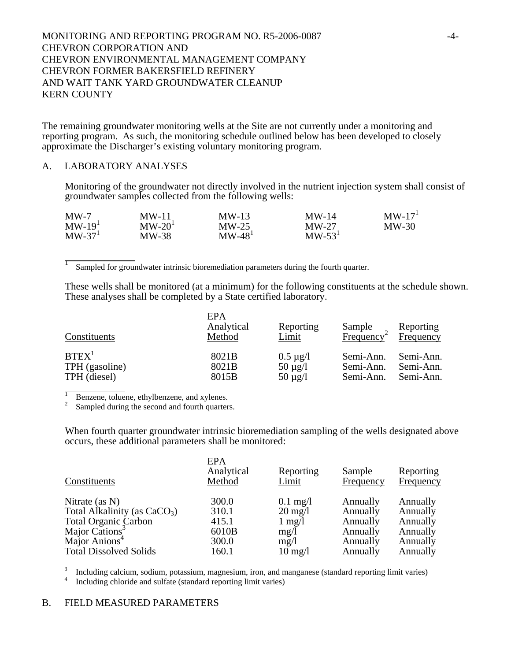## MONITORING AND REPORTING PROGRAM NO. R5-2006-0087 -4- CHEVRON CORPORATION AND CHEVRON ENVIRONMENTAL MANAGEMENT COMPANY CHEVRON FORMER BAKERSFIELD REFINERY AND WAIT TANK YARD GROUNDWATER CLEANUP KERN COUNTY

The remaining groundwater monitoring wells at the Site are not currently under a monitoring and reporting program. As such, the monitoring schedule outlined below has been developed to closely approximate the Discharger's existing voluntary monitoring program.

#### A. LABORATORY ANALYSES

 $\frac{1}{2}$ 

Monitoring of the groundwater not directly involved in the nutrient injection system shall consist of groundwater samples collected from the following wells:

| MW-7     | $MW-11$  | $MW-13$  | $MW-14$  | $MW-17T$ |
|----------|----------|----------|----------|----------|
| $MW-191$ | $MW-20T$ | $MW-25$  | $MW-27$  | $MW-30$  |
| $MW-371$ | $MW-38$  | $MW-481$ | $MW-531$ |          |

Sampled for groundwater intrinsic bioremediation parameters during the fourth quarter.

These wells shall be monitored (at a minimum) for the following constituents at the schedule shown. These analyses shall be completed by a State certified laboratory.

| Constituents      | EPA<br>Analytical<br>Method | Reporting<br>Limit | Sample<br>Freq <u>uency</u> <sup>≜</sup> | Reporting<br>Frequency |
|-------------------|-----------------------------|--------------------|------------------------------------------|------------------------|
| BTEX <sup>1</sup> | 8021B                       | $0.5 \mu g/l$      | Semi-Ann.                                | Semi-Ann.              |
| TPH (gasoline)    | 8021B                       | $50 \mu g/l$       | Semi-Ann.                                | Semi-Ann.              |
| TPH (diesel)      | 8015B                       | $50 \mu g/l$       | Semi-Ann.                                | Semi-Ann.              |

1

Benzene, toluene, ethylbenzene, and xylenes.<br><sup>2</sup> Sampled during the second and fourth quarters.

When fourth quarter groundwater intrinsic bioremediation sampling of the wells designated above occurs, these additional parameters shall be monitored:

| <b>EPA</b><br>Analytical<br>Method | Reporting<br>Limit | Sample<br>Frequency | Reporting<br>Frequency |
|------------------------------------|--------------------|---------------------|------------------------|
| 300.0                              | $0.1$ mg/l         | Annually            | Annually               |
| 310.1                              | $20 \text{ mg}/1$  | Annually            | Annually               |
| 415.1                              | $1 \text{ mg}/1$   | Annually            | Annually               |
| 6010B                              | mg/l               | Annually            | Annually               |
| 300.0                              | mg/l               | Annually            | Annually               |
| 160.1                              | $10 \text{ mg}/l$  | Annually            | Annually               |
|                                    |                    |                     |                        |

<sup>3</sup> Including calcium, sodium, potassium, magnesium, iron, and manganese (standard reporting limit varies) Including chloride and sulfate (standard reporting limit varies)

#### B. FIELD MEASURED PARAMETERS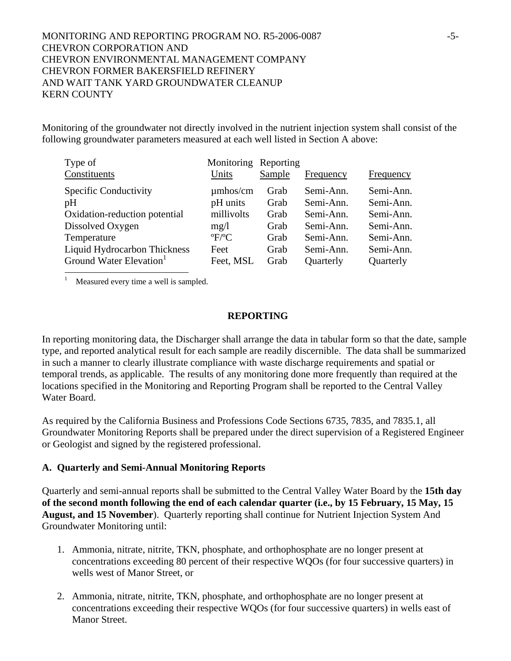# MONITORING AND REPORTING PROGRAM NO. R5-2006-0087 -5- CHEVRON CORPORATION AND CHEVRON ENVIRONMENTAL MANAGEMENT COMPANY CHEVRON FORMER BAKERSFIELD REFINERY AND WAIT TANK YARD GROUNDWATER CLEANUP KERN COUNTY

Monitoring of the groundwater not directly involved in the nutrient injection system shall consist of the following groundwater parameters measured at each well listed in Section A above:

| Type of<br>Constituents             | Monitoring Reporting<br>Units       | Sample | Frequency | Frequency |
|-------------------------------------|-------------------------------------|--------|-----------|-----------|
| Specific Conductivity               | $\mu$ mhos/cm                       | Grab   | Semi-Ann. | Semi-Ann. |
| pH                                  | pH units                            | Grab   | Semi-Ann. | Semi-Ann. |
| Oxidation-reduction potential       | millivolts                          | Grab   | Semi-Ann. | Semi-Ann. |
| Dissolved Oxygen                    | mg/1                                | Grab   | Semi-Ann. | Semi-Ann. |
| Temperature                         | $\mathrm{P}^{\mathrm{o}}\mathrm{C}$ | Grab   | Semi-Ann. | Semi-Ann. |
| Liquid Hydrocarbon Thickness        | Feet                                | Grab   | Semi-Ann. | Semi-Ann. |
| Ground Water Elevation <sup>1</sup> | Feet, MSL                           | Grab   | Quarterly | Quarterly |

<sup>1</sup> Measured every time a well is sampled.

#### **REPORTING**

In reporting monitoring data, the Discharger shall arrange the data in tabular form so that the date, sample type, and reported analytical result for each sample are readily discernible. The data shall be summarized in such a manner to clearly illustrate compliance with waste discharge requirements and spatial or temporal trends, as applicable. The results of any monitoring done more frequently than required at the locations specified in the Monitoring and Reporting Program shall be reported to the Central Valley Water Board.

As required by the California Business and Professions Code Sections 6735, 7835, and 7835.1, all Groundwater Monitoring Reports shall be prepared under the direct supervision of a Registered Engineer or Geologist and signed by the registered professional.

#### **A. Quarterly and Semi-Annual Monitoring Reports**

Quarterly and semi-annual reports shall be submitted to the Central Valley Water Board by the **15th day of the second month following the end of each calendar quarter (i.e., by 15 February, 15 May, 15 August, and 15 November**). Quarterly reporting shall continue for Nutrient Injection System And Groundwater Monitoring until:

- 1. Ammonia, nitrate, nitrite, TKN, phosphate, and orthophosphate are no longer present at concentrations exceeding 80 percent of their respective WQOs (for four successive quarters) in wells west of Manor Street, or
- 2. Ammonia, nitrate, nitrite, TKN, phosphate, and orthophosphate are no longer present at concentrations exceeding their respective WQOs (for four successive quarters) in wells east of Manor Street.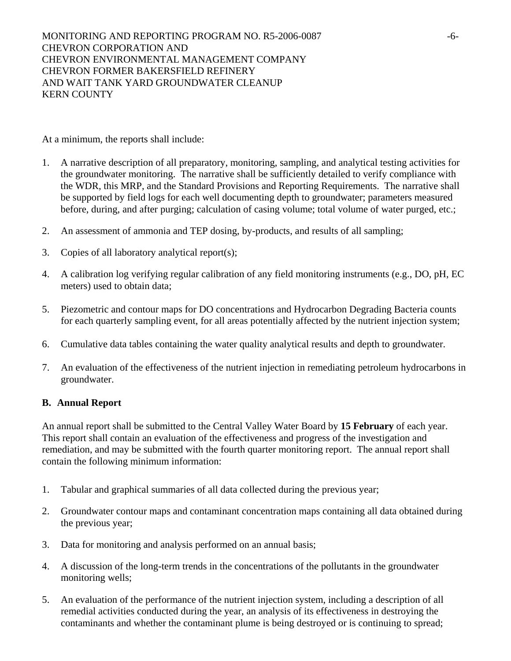MONITORING AND REPORTING PROGRAM NO. R5-2006-0087 -6- CHEVRON CORPORATION AND CHEVRON ENVIRONMENTAL MANAGEMENT COMPANY CHEVRON FORMER BAKERSFIELD REFINERY AND WAIT TANK YARD GROUNDWATER CLEANUP KERN COUNTY

At a minimum, the reports shall include:

- 1. A narrative description of all preparatory, monitoring, sampling, and analytical testing activities for the groundwater monitoring. The narrative shall be sufficiently detailed to verify compliance with the WDR, this MRP, and the Standard Provisions and Reporting Requirements. The narrative shall be supported by field logs for each well documenting depth to groundwater; parameters measured before, during, and after purging; calculation of casing volume; total volume of water purged, etc.;
- 2. An assessment of ammonia and TEP dosing, by-products, and results of all sampling;
- 3. Copies of all laboratory analytical report(s);
- 4. A calibration log verifying regular calibration of any field monitoring instruments (e.g., DO, pH, EC meters) used to obtain data;
- 5. Piezometric and contour maps for DO concentrations and Hydrocarbon Degrading Bacteria counts for each quarterly sampling event, for all areas potentially affected by the nutrient injection system;
- 6. Cumulative data tables containing the water quality analytical results and depth to groundwater.
- 7. An evaluation of the effectiveness of the nutrient injection in remediating petroleum hydrocarbons in groundwater.

### **B. Annual Report**

An annual report shall be submitted to the Central Valley Water Board by **15 February** of each year. This report shall contain an evaluation of the effectiveness and progress of the investigation and remediation, and may be submitted with the fourth quarter monitoring report. The annual report shall contain the following minimum information:

- 1. Tabular and graphical summaries of all data collected during the previous year;
- 2. Groundwater contour maps and contaminant concentration maps containing all data obtained during the previous year;
- 3. Data for monitoring and analysis performed on an annual basis;
- 4. A discussion of the long-term trends in the concentrations of the pollutants in the groundwater monitoring wells;
- 5. An evaluation of the performance of the nutrient injection system, including a description of all remedial activities conducted during the year, an analysis of its effectiveness in destroying the contaminants and whether the contaminant plume is being destroyed or is continuing to spread;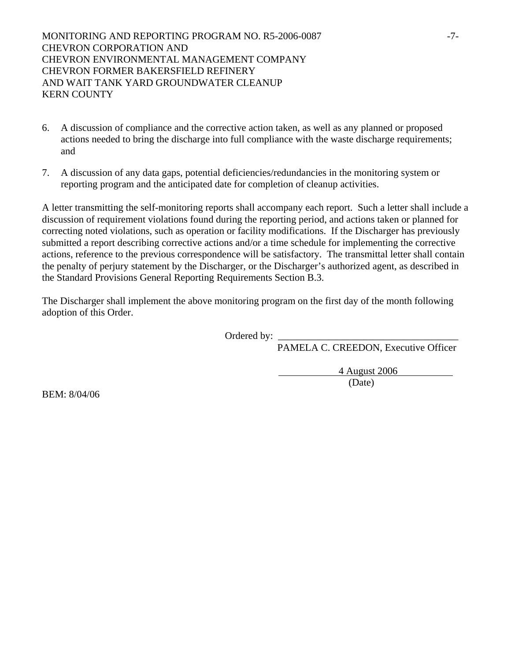MONITORING AND REPORTING PROGRAM NO. R5-2006-0087 -7- CHEVRON CORPORATION AND CHEVRON ENVIRONMENTAL MANAGEMENT COMPANY CHEVRON FORMER BAKERSFIELD REFINERY AND WAIT TANK YARD GROUNDWATER CLEANUP KERN COUNTY

- 6. A discussion of compliance and the corrective action taken, as well as any planned or proposed actions needed to bring the discharge into full compliance with the waste discharge requirements; and
- 7. A discussion of any data gaps, potential deficiencies/redundancies in the monitoring system or reporting program and the anticipated date for completion of cleanup activities.

A letter transmitting the self-monitoring reports shall accompany each report. Such a letter shall include a discussion of requirement violations found during the reporting period, and actions taken or planned for correcting noted violations, such as operation or facility modifications. If the Discharger has previously submitted a report describing corrective actions and/or a time schedule for implementing the corrective actions, reference to the previous correspondence will be satisfactory. The transmittal letter shall contain the penalty of perjury statement by the Discharger, or the Discharger's authorized agent, as described in the Standard Provisions General Reporting Requirements Section B.3.

The Discharger shall implement the above monitoring program on the first day of the month following adoption of this Order.

Ordered by:

PAMELA C. CREEDON, Executive Officer

 4 August 2006 (Date)

BEM: 8/04/06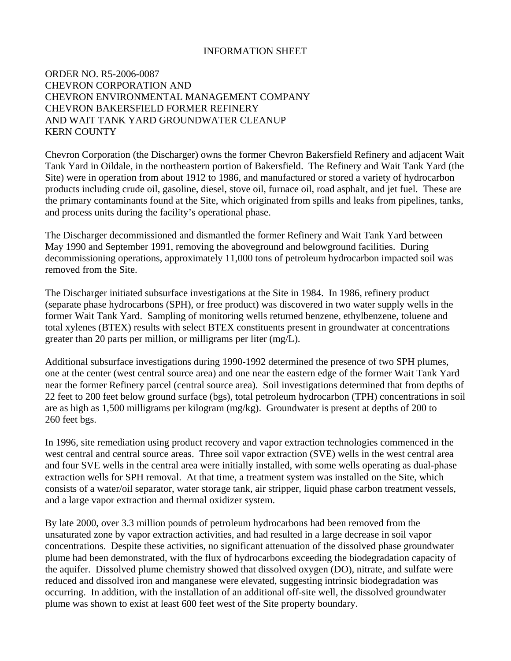### INFORMATION SHEET

## ORDER NO. R5-2006-0087 CHEVRON CORPORATION AND CHEVRON ENVIRONMENTAL MANAGEMENT COMPANY CHEVRON BAKERSFIELD FORMER REFINERY AND WAIT TANK YARD GROUNDWATER CLEANUP KERN COUNTY

Chevron Corporation (the Discharger) owns the former Chevron Bakersfield Refinery and adjacent Wait Tank Yard in Oildale, in the northeastern portion of Bakersfield. The Refinery and Wait Tank Yard (the Site) were in operation from about 1912 to 1986, and manufactured or stored a variety of hydrocarbon products including crude oil, gasoline, diesel, stove oil, furnace oil, road asphalt, and jet fuel. These are the primary contaminants found at the Site, which originated from spills and leaks from pipelines, tanks, and process units during the facility's operational phase.

The Discharger decommissioned and dismantled the former Refinery and Wait Tank Yard between May 1990 and September 1991, removing the aboveground and belowground facilities. During decommissioning operations, approximately 11,000 tons of petroleum hydrocarbon impacted soil was removed from the Site.

The Discharger initiated subsurface investigations at the Site in 1984. In 1986, refinery product (separate phase hydrocarbons (SPH), or free product) was discovered in two water supply wells in the former Wait Tank Yard. Sampling of monitoring wells returned benzene, ethylbenzene, toluene and total xylenes (BTEX) results with select BTEX constituents present in groundwater at concentrations greater than 20 parts per million, or milligrams per liter (mg/L).

Additional subsurface investigations during 1990-1992 determined the presence of two SPH plumes, one at the center (west central source area) and one near the eastern edge of the former Wait Tank Yard near the former Refinery parcel (central source area). Soil investigations determined that from depths of 22 feet to 200 feet below ground surface (bgs), total petroleum hydrocarbon (TPH) concentrations in soil are as high as 1,500 milligrams per kilogram (mg/kg). Groundwater is present at depths of 200 to 260 feet bgs.

In 1996, site remediation using product recovery and vapor extraction technologies commenced in the west central and central source areas. Three soil vapor extraction (SVE) wells in the west central area and four SVE wells in the central area were initially installed, with some wells operating as dual-phase extraction wells for SPH removal. At that time, a treatment system was installed on the Site, which consists of a water/oil separator, water storage tank, air stripper, liquid phase carbon treatment vessels, and a large vapor extraction and thermal oxidizer system.

By late 2000, over 3.3 million pounds of petroleum hydrocarbons had been removed from the unsaturated zone by vapor extraction activities, and had resulted in a large decrease in soil vapor concentrations. Despite these activities, no significant attenuation of the dissolved phase groundwater plume had been demonstrated, with the flux of hydrocarbons exceeding the biodegradation capacity of the aquifer. Dissolved plume chemistry showed that dissolved oxygen (DO), nitrate, and sulfate were reduced and dissolved iron and manganese were elevated, suggesting intrinsic biodegradation was occurring. In addition, with the installation of an additional off-site well, the dissolved groundwater plume was shown to exist at least 600 feet west of the Site property boundary.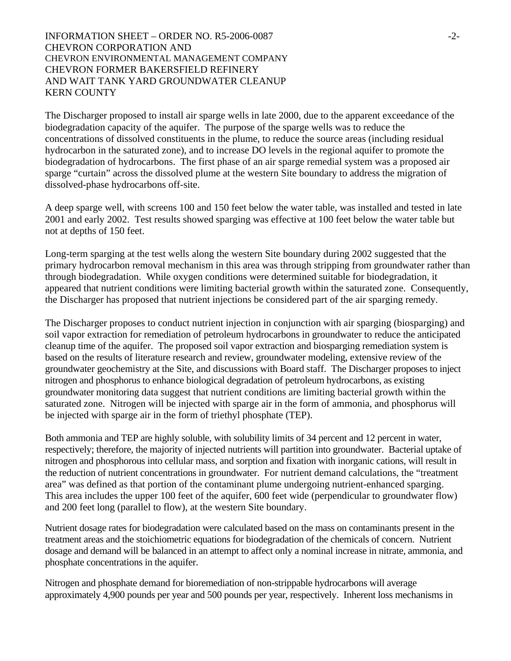## INFORMATION SHEET – ORDER NO. R5-2006-0087  $-2$ -CHEVRON CORPORATION AND CHEVRON ENVIRONMENTAL MANAGEMENT COMPANY CHEVRON FORMER BAKERSFIELD REFINERY AND WAIT TANK YARD GROUNDWATER CLEANUP KERN COUNTY

The Discharger proposed to install air sparge wells in late 2000, due to the apparent exceedance of the biodegradation capacity of the aquifer. The purpose of the sparge wells was to reduce the concentrations of dissolved constituents in the plume, to reduce the source areas (including residual hydrocarbon in the saturated zone), and to increase DO levels in the regional aquifer to promote the biodegradation of hydrocarbons. The first phase of an air sparge remedial system was a proposed air sparge "curtain" across the dissolved plume at the western Site boundary to address the migration of dissolved-phase hydrocarbons off-site.

A deep sparge well, with screens 100 and 150 feet below the water table, was installed and tested in late 2001 and early 2002. Test results showed sparging was effective at 100 feet below the water table but not at depths of 150 feet.

Long-term sparging at the test wells along the western Site boundary during 2002 suggested that the primary hydrocarbon removal mechanism in this area was through stripping from groundwater rather than through biodegradation. While oxygen conditions were determined suitable for biodegradation, it appeared that nutrient conditions were limiting bacterial growth within the saturated zone. Consequently, the Discharger has proposed that nutrient injections be considered part of the air sparging remedy.

The Discharger proposes to conduct nutrient injection in conjunction with air sparging (biosparging) and soil vapor extraction for remediation of petroleum hydrocarbons in groundwater to reduce the anticipated cleanup time of the aquifer. The proposed soil vapor extraction and biosparging remediation system is based on the results of literature research and review, groundwater modeling, extensive review of the groundwater geochemistry at the Site, and discussions with Board staff. The Discharger proposes to inject nitrogen and phosphorus to enhance biological degradation of petroleum hydrocarbons, as existing groundwater monitoring data suggest that nutrient conditions are limiting bacterial growth within the saturated zone. Nitrogen will be injected with sparge air in the form of ammonia, and phosphorus will be injected with sparge air in the form of triethyl phosphate (TEP).

Both ammonia and TEP are highly soluble, with solubility limits of 34 percent and 12 percent in water, respectively; therefore, the majority of injected nutrients will partition into groundwater. Bacterial uptake of nitrogen and phosphorous into cellular mass, and sorption and fixation with inorganic cations, will result in the reduction of nutrient concentrations in groundwater. For nutrient demand calculations, the "treatment area" was defined as that portion of the contaminant plume undergoing nutrient-enhanced sparging. This area includes the upper 100 feet of the aquifer, 600 feet wide (perpendicular to groundwater flow) and 200 feet long (parallel to flow), at the western Site boundary.

Nutrient dosage rates for biodegradation were calculated based on the mass on contaminants present in the treatment areas and the stoichiometric equations for biodegradation of the chemicals of concern. Nutrient dosage and demand will be balanced in an attempt to affect only a nominal increase in nitrate, ammonia, and phosphate concentrations in the aquifer.

Nitrogen and phosphate demand for bioremediation of non-strippable hydrocarbons will average approximately 4,900 pounds per year and 500 pounds per year, respectively. Inherent loss mechanisms in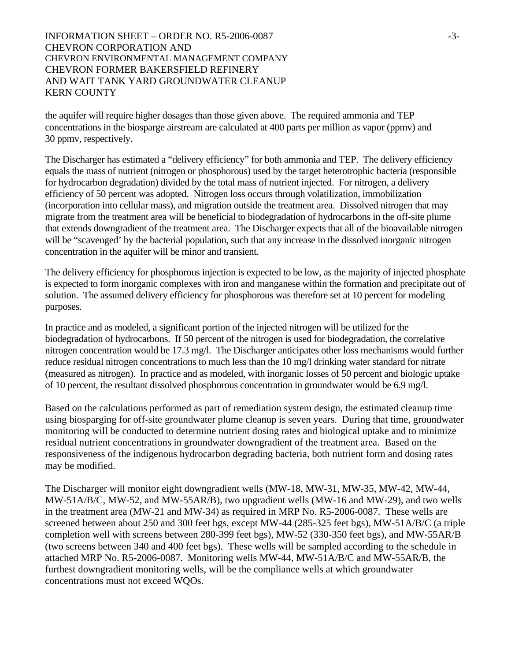## INFORMATION SHEET – ORDER NO. R5-2006-0087  $-3$ -3-CHEVRON CORPORATION AND CHEVRON ENVIRONMENTAL MANAGEMENT COMPANY CHEVRON FORMER BAKERSFIELD REFINERY AND WAIT TANK YARD GROUNDWATER CLEANUP KERN COUNTY

the aquifer will require higher dosages than those given above. The required ammonia and TEP concentrations in the biosparge airstream are calculated at 400 parts per million as vapor (ppmv) and 30 ppmv, respectively.

The Discharger has estimated a "delivery efficiency" for both ammonia and TEP. The delivery efficiency equals the mass of nutrient (nitrogen or phosphorous) used by the target heterotrophic bacteria (responsible for hydrocarbon degradation) divided by the total mass of nutrient injected. For nitrogen, a delivery efficiency of 50 percent was adopted. Nitrogen loss occurs through volatilization, immobilization (incorporation into cellular mass), and migration outside the treatment area. Dissolved nitrogen that may migrate from the treatment area will be beneficial to biodegradation of hydrocarbons in the off-site plume that extends downgradient of the treatment area. The Discharger expects that all of the bioavailable nitrogen will be "scavenged" by the bacterial population, such that any increase in the dissolved inorganic nitrogen concentration in the aquifer will be minor and transient.

The delivery efficiency for phosphorous injection is expected to be low, as the majority of injected phosphate is expected to form inorganic complexes with iron and manganese within the formation and precipitate out of solution. The assumed delivery efficiency for phosphorous was therefore set at 10 percent for modeling purposes.

In practice and as modeled, a significant portion of the injected nitrogen will be utilized for the biodegradation of hydrocarbons. If 50 percent of the nitrogen is used for biodegradation, the correlative nitrogen concentration would be 17.3 mg/l. The Discharger anticipates other loss mechanisms would further reduce residual nitrogen concentrations to much less than the 10 mg/l drinking water standard for nitrate (measured as nitrogen). In practice and as modeled, with inorganic losses of 50 percent and biologic uptake of 10 percent, the resultant dissolved phosphorous concentration in groundwater would be 6.9 mg/l.

Based on the calculations performed as part of remediation system design, the estimated cleanup time using biosparging for off-site groundwater plume cleanup is seven years. During that time, groundwater monitoring will be conducted to determine nutrient dosing rates and biological uptake and to minimize residual nutrient concentrations in groundwater downgradient of the treatment area. Based on the responsiveness of the indigenous hydrocarbon degrading bacteria, both nutrient form and dosing rates may be modified.

The Discharger will monitor eight downgradient wells (MW-18, MW-31, MW-35, MW-42, MW-44, MW-51A/B/C, MW-52, and MW-55AR/B), two upgradient wells (MW-16 and MW-29), and two wells in the treatment area (MW-21 and MW-34) as required in MRP No. R5-2006-0087. These wells are screened between about 250 and 300 feet bgs, except MW-44 (285-325 feet bgs), MW-51A/B/C (a triple completion well with screens between 280-399 feet bgs), MW-52 (330-350 feet bgs), and MW-55AR/B (two screens between 340 and 400 feet bgs). These wells will be sampled according to the schedule in attached MRP No. R5-2006-0087. Monitoring wells MW-44, MW-51A/B/C and MW-55AR/B, the furthest downgradient monitoring wells, will be the compliance wells at which groundwater concentrations must not exceed WQOs.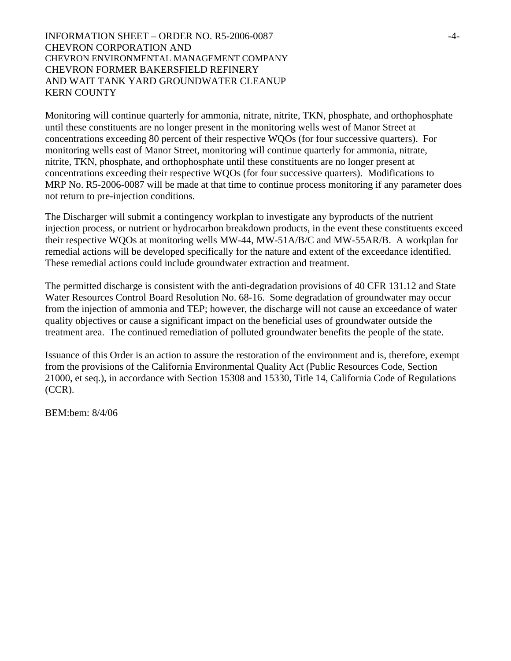INFORMATION SHEET – ORDER NO. R5-2006-0087 -4- CHEVRON CORPORATION AND CHEVRON ENVIRONMENTAL MANAGEMENT COMPANY CHEVRON FORMER BAKERSFIELD REFINERY AND WAIT TANK YARD GROUNDWATER CLEANUP KERN COUNTY

Monitoring will continue quarterly for ammonia, nitrate, nitrite, TKN, phosphate, and orthophosphate until these constituents are no longer present in the monitoring wells west of Manor Street at concentrations exceeding 80 percent of their respective WQOs (for four successive quarters). For monitoring wells east of Manor Street, monitoring will continue quarterly for ammonia, nitrate, nitrite, TKN, phosphate, and orthophosphate until these constituents are no longer present at concentrations exceeding their respective WQOs (for four successive quarters). Modifications to MRP No. R5-2006-0087 will be made at that time to continue process monitoring if any parameter does not return to pre-injection conditions.

The Discharger will submit a contingency workplan to investigate any byproducts of the nutrient injection process, or nutrient or hydrocarbon breakdown products, in the event these constituents exceed their respective WQOs at monitoring wells MW-44, MW-51A/B/C and MW-55AR/B. A workplan for remedial actions will be developed specifically for the nature and extent of the exceedance identified. These remedial actions could include groundwater extraction and treatment.

The permitted discharge is consistent with the anti-degradation provisions of 40 CFR 131.12 and State Water Resources Control Board Resolution No. 68-16. Some degradation of groundwater may occur from the injection of ammonia and TEP; however, the discharge will not cause an exceedance of water quality objectives or cause a significant impact on the beneficial uses of groundwater outside the treatment area. The continued remediation of polluted groundwater benefits the people of the state.

Issuance of this Order is an action to assure the restoration of the environment and is, therefore, exempt from the provisions of the California Environmental Quality Act (Public Resources Code, Section 21000, et seq.), in accordance with Section 15308 and 15330, Title 14, California Code of Regulations (CCR).

BEM:bem: 8/4/06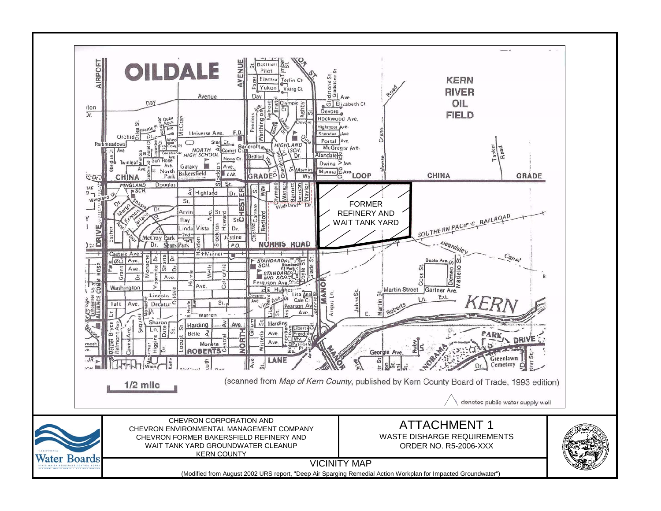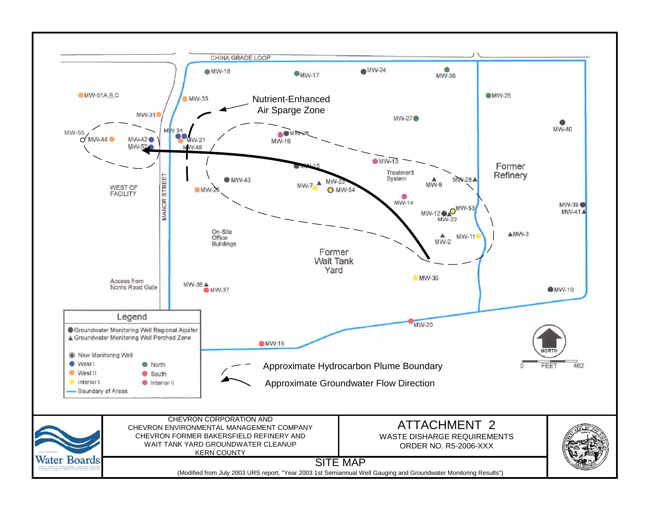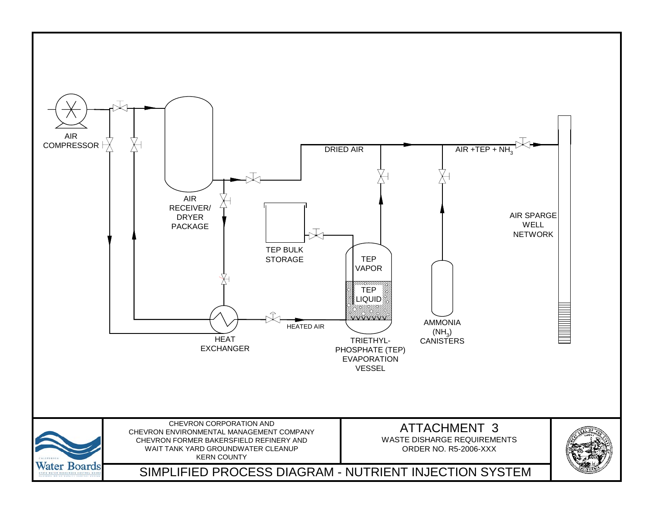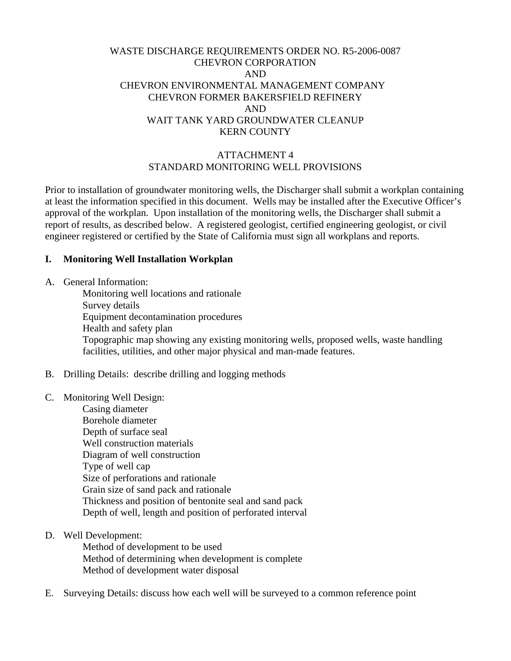# WASTE DISCHARGE REQUIREMENTS ORDER NO. R5-2006-0087 CHEVRON CORPORATION AND CHEVRON ENVIRONMENTAL MANAGEMENT COMPANY CHEVRON FORMER BAKERSFIELD REFINERY AND WAIT TANK YARD GROUNDWATER CLEANUP KERN COUNTY

## ATTACHMENT 4 STANDARD MONITORING WELL PROVISIONS

Prior to installation of groundwater monitoring wells, the Discharger shall submit a workplan containing at least the information specified in this document. Wells may be installed after the Executive Officer's approval of the workplan. Upon installation of the monitoring wells, the Discharger shall submit a report of results, as described below. A registered geologist, certified engineering geologist, or civil engineer registered or certified by the State of California must sign all workplans and reports.

#### **I. Monitoring Well Installation Workplan**

A. General Information:

 Monitoring well locations and rationale Survey details Equipment decontamination procedures Health and safety plan Topographic map showing any existing monitoring wells, proposed wells, waste handling facilities, utilities, and other major physical and man-made features.

B. Drilling Details: describe drilling and logging methods

#### C. Monitoring Well Design:

- Casing diameter Borehole diameter Depth of surface seal Well construction materials Diagram of well construction Type of well cap Size of perforations and rationale Grain size of sand pack and rationale Thickness and position of bentonite seal and sand pack Depth of well, length and position of perforated interval
- D. Well Development:

 Method of development to be used Method of determining when development is complete Method of development water disposal

E. Surveying Details: discuss how each well will be surveyed to a common reference point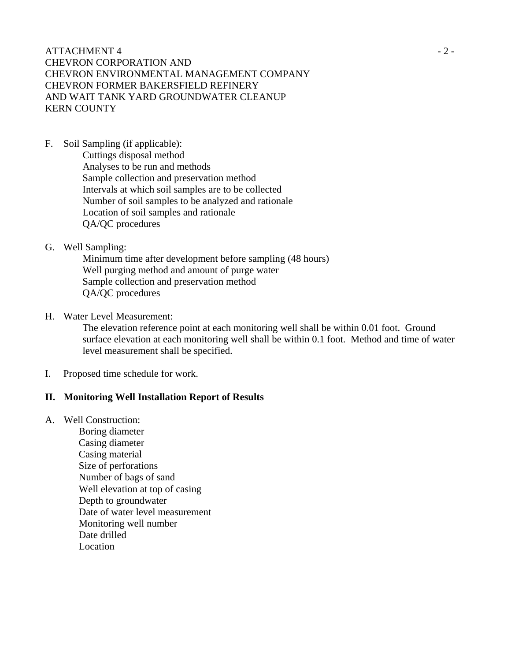$\triangle$   $-2$  -CHEVRON CORPORATION AND CHEVRON ENVIRONMENTAL MANAGEMENT COMPANY CHEVRON FORMER BAKERSFIELD REFINERY AND WAIT TANK YARD GROUNDWATER CLEANUP KERN COUNTY

F. Soil Sampling (if applicable):

 Cuttings disposal method Analyses to be run and methods Sample collection and preservation method Intervals at which soil samples are to be collected Number of soil samples to be analyzed and rationale Location of soil samples and rationale QA/QC procedures

#### G. Well Sampling:

 Minimum time after development before sampling (48 hours) Well purging method and amount of purge water Sample collection and preservation method QA/QC procedures

#### H. Water Level Measurement:

 The elevation reference point at each monitoring well shall be within 0.01 foot. Ground surface elevation at each monitoring well shall be within 0.1 foot. Method and time of water level measurement shall be specified.

I. Proposed time schedule for work.

# **II. Monitoring Well Installation Report of Results**

### A. Well Construction:

 Boring diameter Casing diameter Casing material Size of perforations Number of bags of sand Well elevation at top of casing Depth to groundwater Date of water level measurement Monitoring well number Date drilled Location